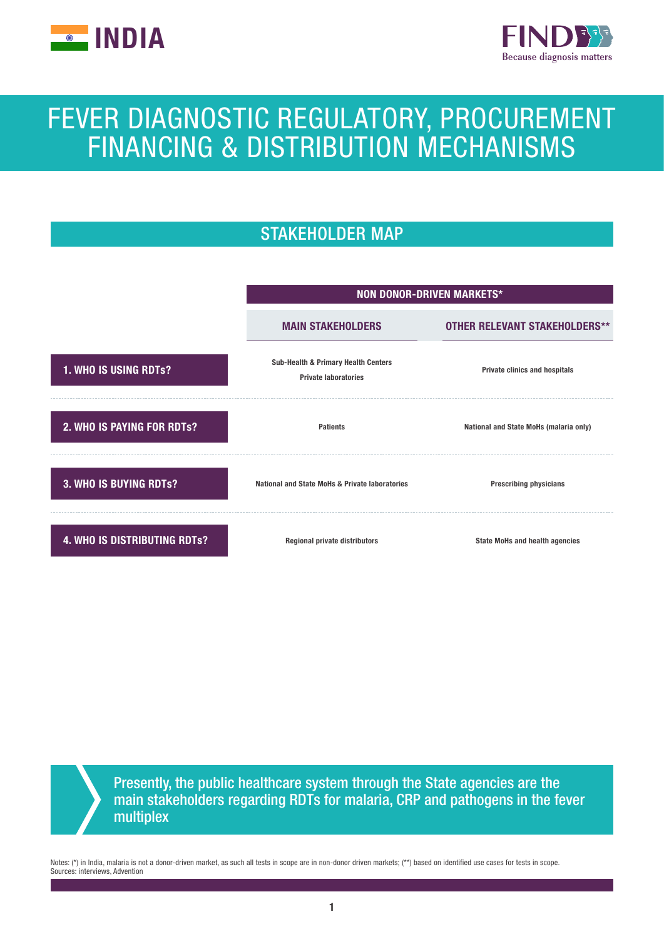



# FEVER DIAGNOSTIC REGULATORY, PROCUREMENT FINANCING & DISTRIBUTION MECHANISMS

# STAKEHOLDER MAP



Presently, the public healthcare system through the State agencies are the main stakeholders regarding RDTs for malaria, CRP and pathogens in the fever multiplex

Notes: (\*) in India, malaria is not a donor-driven market, as such all tests in scope are in non-donor driven markets; (\*\*) based on identified use cases for tests in scope. Sources: interviews, Advention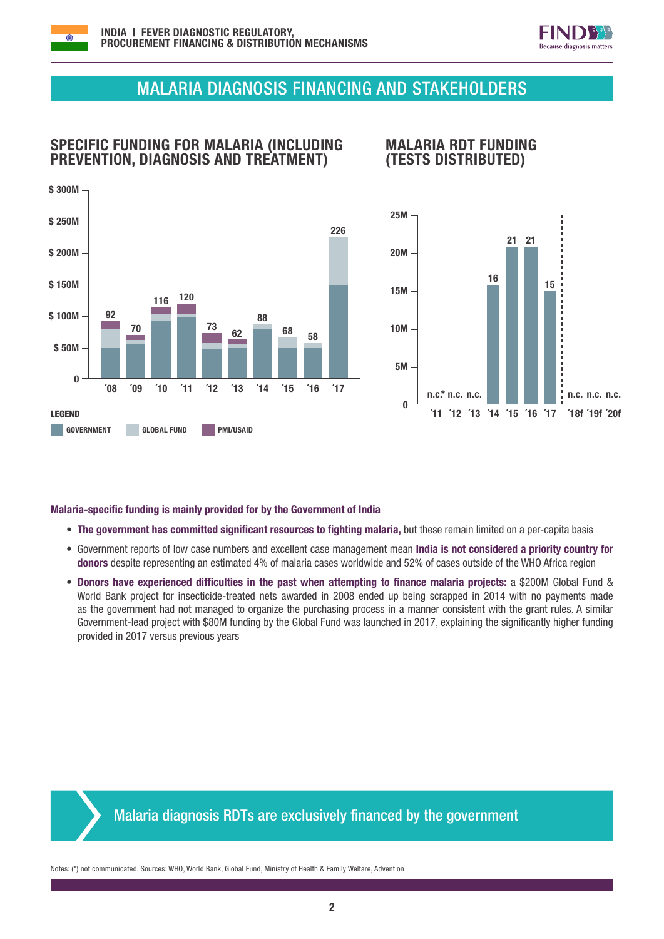



# MALARIA DIAGNOSIS FINANCING AND STAKEHOLDERS

## SPECIFIC FUNDING FOR MALARIA (INCLUDING PREVENTION, DIAGNOSIS AND TREATMENT)



### MALARIA RDT FUNDING (TESTS DISTRIBUTED)



#### Malaria-specific funding is mainly provided for by the Government of India

- The government has committed significant resources to fighting malaria, but these remain limited on a per-capita basis
- Government reports of low case numbers and excellent case management mean India is not considered a priority country for donors despite representing an estimated 4% of malaria cases worldwide and 52% of cases outside of the WHO Africa region
- Donors have experienced difficulties in the past when attempting to finance malaria projects: a \$200M Global Fund & World Bank project for insecticide-treated nets awarded in 2008 ended up being scrapped in 2014 with no payments made as the government had not managed to organize the purchasing process in a manner consistent with the grant rules. A similar Government-lead project with \$80M funding by the Global Fund was launched in 2017, explaining the significantly higher funding provided in 2017 versus previous years

# Malaria diagnosis RDTs are exclusively financed by the government

Notes: (\*) not communicated. Sources: WHO, World Bank, Global Fund, Ministry of Health & Family Welfare, Advention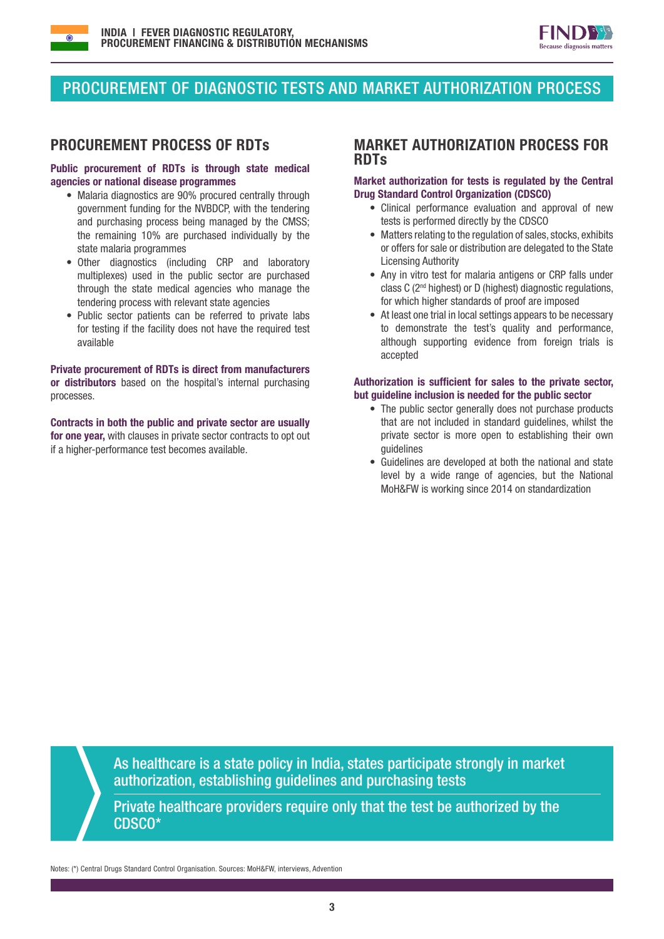



# PROCUREMENT OF DIAGNOSTIC TESTS AND MARKET AUTHORIZATION PROCESS

#### Public procurement of RDTs is through state medical agencies or national disease programmes

- Malaria diagnostics are 90% procured centrally through government funding for the NVBDCP, with the tendering and purchasing process being managed by the CMSS; the remaining 10% are purchased individually by the state malaria programmes
- Other diagnostics (including CRP and laboratory multiplexes) used in the public sector are purchased through the state medical agencies who manage the tendering process with relevant state agencies
- Public sector patients can be referred to private labs for testing if the facility does not have the required test available

Private procurement of RDTs is direct from manufacturers or distributors based on the hospital's internal purchasing processes.

Contracts in both the public and private sector are usually for one vear, with clauses in private sector contracts to opt out if a higher-performance test becomes available.

#### PROCUREMENT PROCESS OF RDTs MARKET AUTHORIZATION PROCESS FOR RDTs

#### Market authorization for tests is regulated by the Central Drug Standard Control Organization (CDSCO)

- Clinical performance evaluation and approval of new tests is performed directly by the CDSCO
- Matters relating to the regulation of sales, stocks, exhibits or offers for sale or distribution are delegated to the State Licensing Authority
- Any in vitro test for malaria antigens or CRP falls under class C (2nd highest) or D (highest) diagnostic regulations, for which higher standards of proof are imposed
- At least one trial in local settings appears to be necessary to demonstrate the test's quality and performance, although supporting evidence from foreign trials is accepted

#### Authorization is sufficient for sales to the private sector, but guideline inclusion is needed for the public sector

- The public sector generally does not purchase products that are not included in standard guidelines, whilst the private sector is more open to establishing their own guidelines
- Guidelines are developed at both the national and state level by a wide range of agencies, but the National MoH&FW is working since 2014 on standardization

As healthcare is a state policy in India, states participate strongly in market authorization, establishing guidelines and purchasing tests

Private healthcare providers require only that the test be authorized by the CDSCO\*

Notes: (\*) Central Drugs Standard Control Organisation. Sources: MoH&FW, interviews, Advention